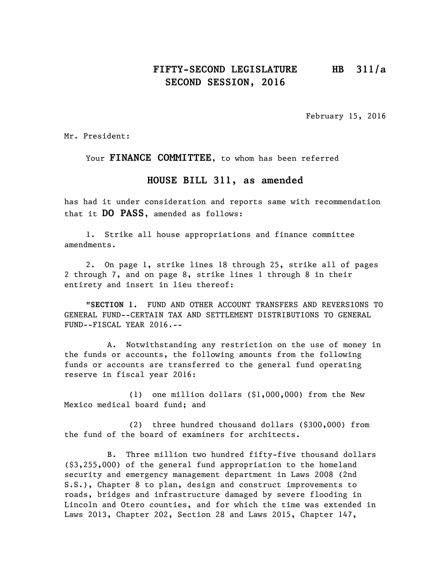## **FIFTY-SECOND LEGISLATURE HB 311/a SECOND SESSION, 2016**

February 15, 2016

Mr. President:

Your **FINANCE COMMITTEE**, to whom has been referred

#### **HOUSE BILL 311**, **as amended**

has had it under consideration and reports same with recommendation that it **DO PASS**, amended as follows:

1. Strike all house appropriations and finance committee amendments.

2. On page 1, strike lines 18 through 25, strike all of pages 2 through 7, and on page 8, strike lines 1 through 8 in their entirety and insert in lieu thereof:

"**SECTION 1.** FUND AND OTHER ACCOUNT TRANSFERS AND REVERSIONS TO GENERAL FUND--CERTAIN TAX AND SETTLEMENT DISTRIBUTIONS TO GENERAL FUND--FISCAL YEAR 2016.--

A. Notwithstanding any restriction on the use of money in the funds or accounts, the following amounts from the following funds or accounts are transferred to the general fund operating reserve in fiscal year 2016:

(1) one million dollars (\$1,000,000) from the New Mexico medical board fund; and

(2) three hundred thousand dollars (\$300,000) from the fund of the board of examiners for architects.

B. Three million two hundred fifty-five thousand dollars (\$3,255,000) of the general fund appropriation to the homeland security and emergency management department in Laws 2008 (2nd S.S.), Chapter 8 to plan, design and construct improvements to roads, bridges and infrastructure damaged by severe flooding in Lincoln and Otero counties, and for which the time was extended in Laws 2013, Chapter 202, Section 28 and Laws 2015, Chapter 147,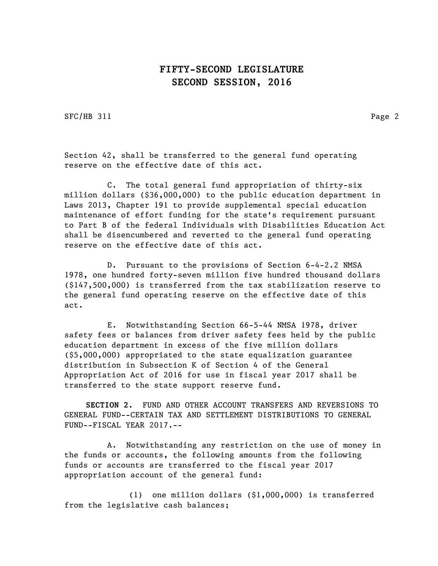SFC/HB 311 Page 2

Section 42, shall be transferred to the general fund operating reserve on the effective date of this act.

C. The total general fund appropriation of thirty-six million dollars (\$36,000,000) to the public education department in Laws 2013, Chapter 191 to provide supplemental special education maintenance of effort funding for the state's requirement pursuant to Part B of the federal Individuals with Disabilities Education Act shall be disencumbered and reverted to the general fund operating reserve on the effective date of this act.

D. Pursuant to the provisions of Section 6-4-2.2 NMSA 1978, one hundred forty-seven million five hundred thousand dollars (\$147,500,000) is transferred from the tax stabilization reserve to the general fund operating reserve on the effective date of this act.

E. Notwithstanding Section 66-5-44 NMSA 1978, driver safety fees or balances from driver safety fees held by the public education department in excess of the five million dollars (\$5,000,000) appropriated to the state equalization guarantee distribution in Subsection K of Section 4 of the General Appropriation Act of 2016 for use in fiscal year 2017 shall be transferred to the state support reserve fund.

**SECTION 2.** FUND AND OTHER ACCOUNT TRANSFERS AND REVERSIONS TO GENERAL FUND--CERTAIN TAX AND SETTLEMENT DISTRIBUTIONS TO GENERAL FUND--FISCAL YEAR 2017.--

A. Notwithstanding any restriction on the use of money in the funds or accounts, the following amounts from the following funds or accounts are transferred to the fiscal year 2017 appropriation account of the general fund:

(1) one million dollars (\$1,000,000) is transferred from the legislative cash balances;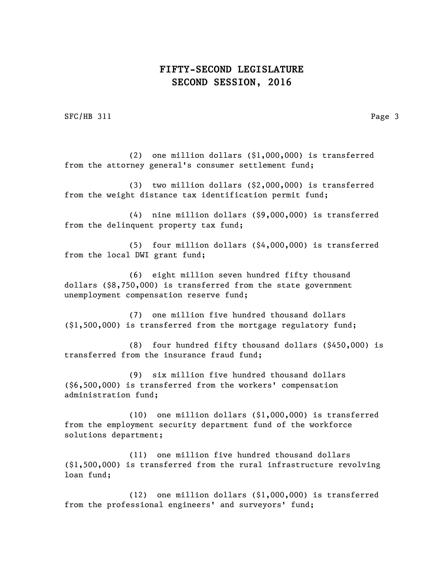SFC/HB 311 Page 3

(2) one million dollars (\$1,000,000) is transferred from the attorney general's consumer settlement fund;

(3) two million dollars (\$2,000,000) is transferred from the weight distance tax identification permit fund;

(4) nine million dollars (\$9,000,000) is transferred from the delinquent property tax fund;

(5) four million dollars (\$4,000,000) is transferred from the local DWI grant fund;

(6) eight million seven hundred fifty thousand dollars (\$8,750,000) is transferred from the state government unemployment compensation reserve fund;

(7) one million five hundred thousand dollars (\$1,500,000) is transferred from the mortgage regulatory fund;

(8) four hundred fifty thousand dollars (\$450,000) is transferred from the insurance fraud fund;

(9) six million five hundred thousand dollars (\$6,500,000) is transferred from the workers' compensation administration fund;

(10) one million dollars (\$1,000,000) is transferred from the employment security department fund of the workforce solutions department;

(11) one million five hundred thousand dollars (\$1,500,000) is transferred from the rural infrastructure revolving loan fund;

(12) one million dollars (\$1,000,000) is transferred from the professional engineers' and surveyors' fund;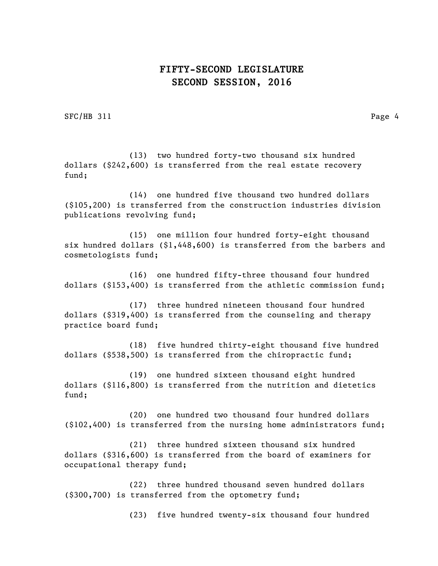SFC/HB 311 Page 4

(13) two hundred forty-two thousand six hundred dollars (\$242,600) is transferred from the real estate recovery fund;

(14) one hundred five thousand two hundred dollars (\$105,200) is transferred from the construction industries division publications revolving fund;

(15) one million four hundred forty-eight thousand six hundred dollars (\$1,448,600) is transferred from the barbers and cosmetologists fund;

(16) one hundred fifty-three thousand four hundred dollars (\$153,400) is transferred from the athletic commission fund;

(17) three hundred nineteen thousand four hundred dollars (\$319,400) is transferred from the counseling and therapy practice board fund;

(18) five hundred thirty-eight thousand five hundred dollars (\$538,500) is transferred from the chiropractic fund;

(19) one hundred sixteen thousand eight hundred dollars (\$116,800) is transferred from the nutrition and dietetics fund;

(20) one hundred two thousand four hundred dollars (\$102,400) is transferred from the nursing home administrators fund;

(21) three hundred sixteen thousand six hundred dollars (\$316,600) is transferred from the board of examiners for occupational therapy fund;

(22) three hundred thousand seven hundred dollars (\$300,700) is transferred from the optometry fund;

(23) five hundred twenty-six thousand four hundred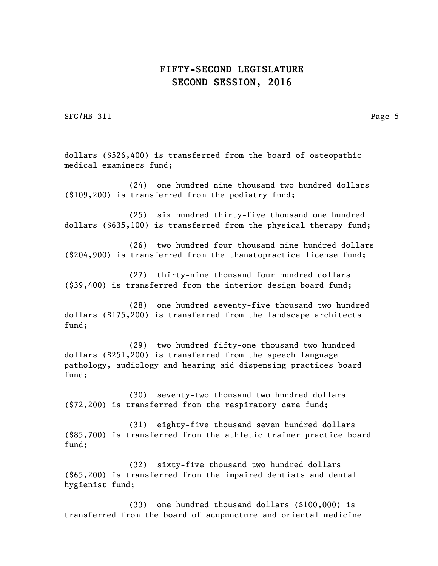SFC/HB 311 Page 5

dollars (\$526,400) is transferred from the board of osteopathic medical examiners fund;

(24) one hundred nine thousand two hundred dollars (\$109,200) is transferred from the podiatry fund;

(25) six hundred thirty-five thousand one hundred dollars (\$635,100) is transferred from the physical therapy fund;

(26) two hundred four thousand nine hundred dollars (\$204,900) is transferred from the thanatopractice license fund;

(27) thirty-nine thousand four hundred dollars (\$39,400) is transferred from the interior design board fund;

(28) one hundred seventy-five thousand two hundred dollars (\$175,200) is transferred from the landscape architects fund;

(29) two hundred fifty-one thousand two hundred dollars (\$251,200) is transferred from the speech language pathology, audiology and hearing aid dispensing practices board fund;

(30) seventy-two thousand two hundred dollars (\$72,200) is transferred from the respiratory care fund;

(31) eighty-five thousand seven hundred dollars (\$85,700) is transferred from the athletic trainer practice board fund;

(32) sixty-five thousand two hundred dollars (\$65,200) is transferred from the impaired dentists and dental hygienist fund;

(33) one hundred thousand dollars (\$100,000) is transferred from the board of acupuncture and oriental medicine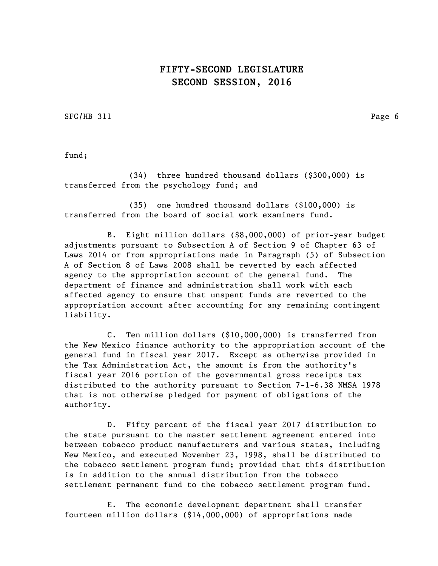SFC/HB 311 Page 6

fund;

(34) three hundred thousand dollars (\$300,000) is transferred from the psychology fund; and

(35) one hundred thousand dollars (\$100,000) is transferred from the board of social work examiners fund.

B. Eight million dollars (\$8,000,000) of prior-year budget adjustments pursuant to Subsection A of Section 9 of Chapter 63 of Laws 2014 or from appropriations made in Paragraph (5) of Subsection A of Section 8 of Laws 2008 shall be reverted by each affected agency to the appropriation account of the general fund. The department of finance and administration shall work with each affected agency to ensure that unspent funds are reverted to the appropriation account after accounting for any remaining contingent liability.

C. Ten million dollars (\$10,000,000) is transferred from the New Mexico finance authority to the appropriation account of the general fund in fiscal year 2017. Except as otherwise provided in the Tax Administration Act, the amount is from the authority's fiscal year 2016 portion of the governmental gross receipts tax distributed to the authority pursuant to Section 7-1-6.38 NMSA 1978 that is not otherwise pledged for payment of obligations of the authority.

D. Fifty percent of the fiscal year 2017 distribution to the state pursuant to the master settlement agreement entered into between tobacco product manufacturers and various states, including New Mexico, and executed November 23, 1998, shall be distributed to the tobacco settlement program fund; provided that this distribution is in addition to the annual distribution from the tobacco settlement permanent fund to the tobacco settlement program fund.

E. The economic development department shall transfer fourteen million dollars (\$14,000,000) of appropriations made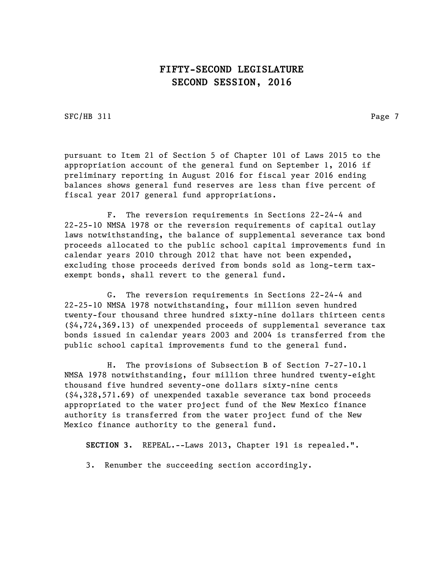SFC/HB 311 Page 7

pursuant to Item 21 of Section 5 of Chapter 101 of Laws 2015 to the appropriation account of the general fund on September 1, 2016 if preliminary reporting in August 2016 for fiscal year 2016 ending balances shows general fund reserves are less than five percent of fiscal year 2017 general fund appropriations.

F. The reversion requirements in Sections 22-24-4 and 22-25-10 NMSA 1978 or the reversion requirements of capital outlay laws notwithstanding, the balance of supplemental severance tax bond proceeds allocated to the public school capital improvements fund in calendar years 2010 through 2012 that have not been expended, excluding those proceeds derived from bonds sold as long-term taxexempt bonds, shall revert to the general fund.

G. The reversion requirements in Sections 22-24-4 and 22-25-10 NMSA 1978 notwithstanding, four million seven hundred twenty-four thousand three hundred sixty-nine dollars thirteen cents (\$4,724,369.13) of unexpended proceeds of supplemental severance tax bonds issued in calendar years 2003 and 2004 is transferred from the public school capital improvements fund to the general fund.

H. The provisions of Subsection B of Section 7-27-10.1 NMSA 1978 notwithstanding, four million three hundred twenty-eight thousand five hundred seventy-one dollars sixty-nine cents (\$4,328,571.69) of unexpended taxable severance tax bond proceeds appropriated to the water project fund of the New Mexico finance authority is transferred from the water project fund of the New Mexico finance authority to the general fund.

**SECTION 3.** REPEAL.--Laws 2013, Chapter 191 is repealed.".

3. Renumber the succeeding section accordingly.